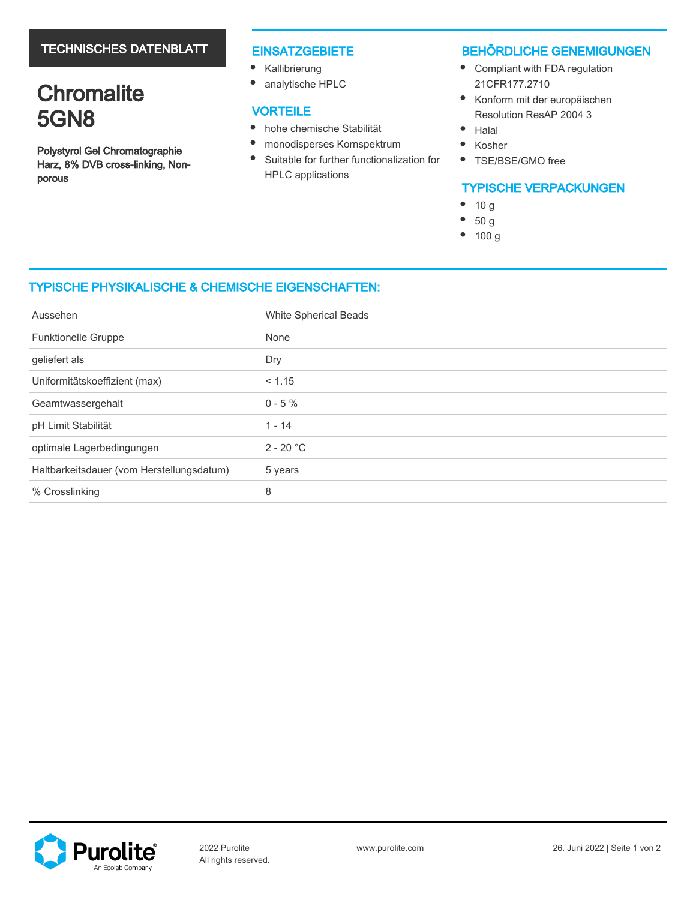# TECHNISCHES DATENBLATT

# **Chromalite** 5GN8

Polystyrol Gel Chromatographie Harz, 8% DVB cross-linking, Nonporous

#### **EINSATZGEBIETE**

- Kallibrierung
- $\bullet$ analytische HPLC

# **VORTEILE**

- $\bullet$ hohe chemische Stabilität
- $\bullet$ monodisperses Kornspektrum
- $\bullet$ Suitable for further functionalization for HPLC applications

### BEHÖRDLICHE GENEMIGUNGEN

- Compliant with FDA regulation 21CFR177.2710
- $\bullet$ Konform mit der europäischen Resolution ResAP 2004 3
- $\bullet$ Halal
- $\bullet$ Kosher
- $\bullet$ TSE/BSE/GMO free

# TYPISCHE VERPACKUNGEN

- $\bullet$ 10 g
- 50 g
- $\bullet$ 100 g

# TYPISCHE PHYSIKALISCHE & CHEMISCHE EIGENSCHAFTEN:

| Aussehen                                  | White Spherical Beads |
|-------------------------------------------|-----------------------|
| Funktionelle Gruppe                       | None                  |
| geliefert als                             | Dry                   |
| Uniformitätskoeffizient (max)             | < 1.15                |
| Geamtwassergehalt                         | $0 - 5 \%$            |
| pH Limit Stabilität                       | $1 - 14$              |
| optimale Lagerbedingungen                 | $2 - 20 °C$           |
| Haltbarkeitsdauer (vom Herstellungsdatum) | 5 years               |
| % Crosslinking                            | 8                     |